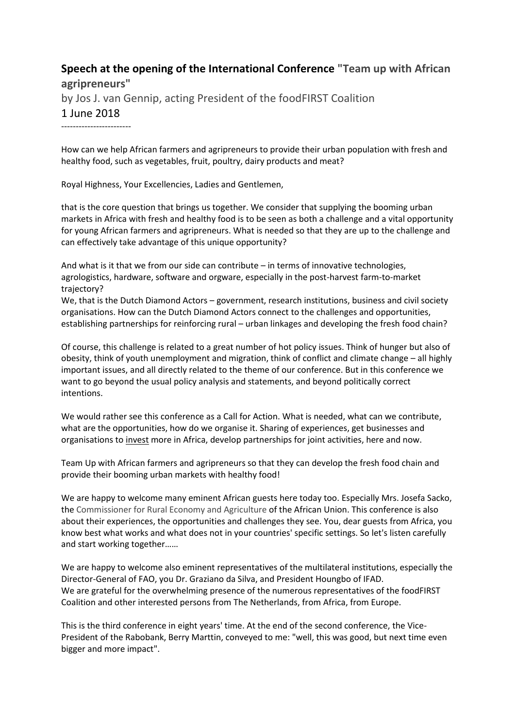## **Speech at the opening of the International Conference "Team up with African agripreneurs"** by Jos J. van Gennip, acting President of the foodFIRST Coalition 1 June 2018  $-$

How can we help African farmers and agripreneurs to provide their urban population with fresh and healthy food, such as vegetables, fruit, poultry, dairy products and meat?

Royal Highness, Your Excellencies, Ladies and Gentlemen,

that is the core question that brings us together. We consider that supplying the booming urban markets in Africa with fresh and healthy food is to be seen as both a challenge and a vital opportunity for young African farmers and agripreneurs. What is needed so that they are up to the challenge and can effectively take advantage of this unique opportunity?

And what is it that we from our side can contribute – in terms of innovative technologies, agrologistics, hardware, software and orgware, especially in the post-harvest farm-to-market trajectory?

We, that is the Dutch Diamond Actors – government, research institutions, business and civil society organisations. How can the Dutch Diamond Actors connect to the challenges and opportunities, establishing partnerships for reinforcing rural – urban linkages and developing the fresh food chain?

Of course, this challenge is related to a great number of hot policy issues. Think of hunger but also of obesity, think of youth unemployment and migration, think of conflict and climate change – all highly important issues, and all directly related to the theme of our conference. But in this conference we want to go beyond the usual policy analysis and statements, and beyond politically correct intentions.

We would rather see this conference as a Call for Action. What is needed, what can we contribute, what are the opportunities, how do we organise it. Sharing of experiences, get businesses and organisations to invest more in Africa, develop partnerships for joint activities, here and now.

Team Up with African farmers and agripreneurs so that they can develop the fresh food chain and provide their booming urban markets with healthy food!

We are happy to welcome many eminent African guests here today too. Especially Mrs. Josefa Sacko, the Commissioner for Rural Economy and Agriculture of the African Union. This conference is also about their experiences, the opportunities and challenges they see. You, dear guests from Africa, you know best what works and what does not in your countries' specific settings. So let's listen carefully and start working together……

We are happy to welcome also eminent representatives of the multilateral institutions, especially the Director-General of FAO, you Dr. Graziano da Silva, and President Houngbo of IFAD. We are grateful for the overwhelming presence of the numerous representatives of the foodFIRST Coalition and other interested persons from The Netherlands, from Africa, from Europe.

This is the third conference in eight years' time. At the end of the second conference, the Vice-President of the Rabobank, Berry Marttin, conveyed to me: "well, this was good, but next time even bigger and more impact".